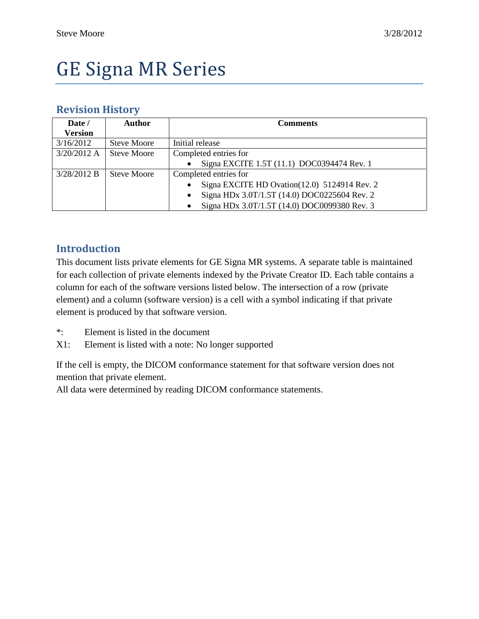# GE Signa MR Series

#### **Revision History**

| Date /         | <b>Author</b>      | <b>Comments</b>                              |
|----------------|--------------------|----------------------------------------------|
| <b>Version</b> |                    |                                              |
| 3/16/2012      | <b>Steve Moore</b> | Initial release                              |
| $3/20/2012$ A  | <b>Steve Moore</b> | Completed entries for                        |
|                |                    | Signa EXCITE 1.5T (11.1) DOC0394474 Rev. 1   |
| 3/28/2012 B    | <b>Steve Moore</b> | Completed entries for                        |
|                |                    | Signa EXCITE HD Ovation(12.0) 5124914 Rev. 2 |
|                |                    | Signa HDx 3.0T/1.5T (14.0) DOC0225604 Rev. 2 |
|                |                    | Signa HDx 3.0T/1.5T (14.0) DOC0099380 Rev. 3 |

#### **Introduction**

This document lists private elements for GE Signa MR systems. A separate table is maintained for each collection of private elements indexed by the Private Creator ID. Each table contains a column for each of the software versions listed below. The intersection of a row (private element) and a column (software version) is a cell with a symbol indicating if that private element is produced by that software version.

- \*: Element is listed in the document
- X1: Element is listed with a note: No longer supported

If the cell is empty, the DICOM conformance statement for that software version does not mention that private element.

All data were determined by reading DICOM conformance statements.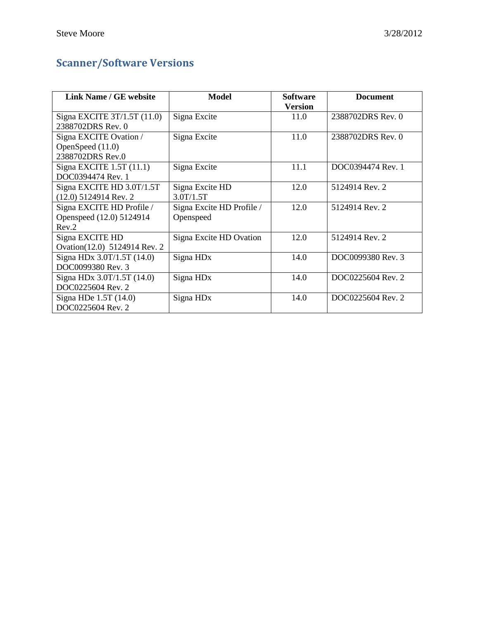## **Scanner/Software Versions**

| Link Name / GE website                                         | <b>Model</b>                           | <b>Software</b><br><b>Version</b> | <b>Document</b>   |
|----------------------------------------------------------------|----------------------------------------|-----------------------------------|-------------------|
| Signa EXCITE $3T/1.5T(11.0)$<br>2388702DRS Rev. 0              | Signa Excite                           | 11.0                              | 2388702DRS Rev. 0 |
| Signa EXCITE Ovation /<br>OpenSpeed (11.0)<br>2388702DRS Rev.0 | Signa Excite                           | 11.0                              | 2388702DRS Rev. 0 |
| Signa EXCITE $1.5T(11.1)$<br>DOC0394474 Rev. 1                 | Signa Excite                           | 11.1                              | DOC0394474 Rev. 1 |
| Signa EXCITE HD 3.0T/1.5T<br>$(12.0)$ 5124914 Rev. 2           | Signa Excite HD<br>3.0T/1.5T           | 12.0                              | 5124914 Rev. 2    |
| Signa EXCITE HD Profile /<br>Openspeed (12.0) 5124914<br>Rev.2 | Signa Excite HD Profile /<br>Openspeed | 12.0                              | 5124914 Rev. 2    |
| Signa EXCITE HD<br>Ovation(12.0) 5124914 Rev. 2                | Signa Excite HD Ovation                | 12.0                              | 5124914 Rev. 2    |
| Signa HDx 3.0T/1.5T (14.0)<br>DOC0099380 Rev. 3                | Signa HD <sub>x</sub>                  | 14.0                              | DOC0099380 Rev. 3 |
| Signa HDx 3.0T/1.5T (14.0)<br>DOC0225604 Rev. 2                | Signa HD <sub>x</sub>                  | 14.0                              | DOC0225604 Rev. 2 |
| Signa HDe 1.5T (14.0)<br>DOC0225604 Rev. 2                     | Signa HD <sub>x</sub>                  | 14.0                              | DOC0225604 Rev. 2 |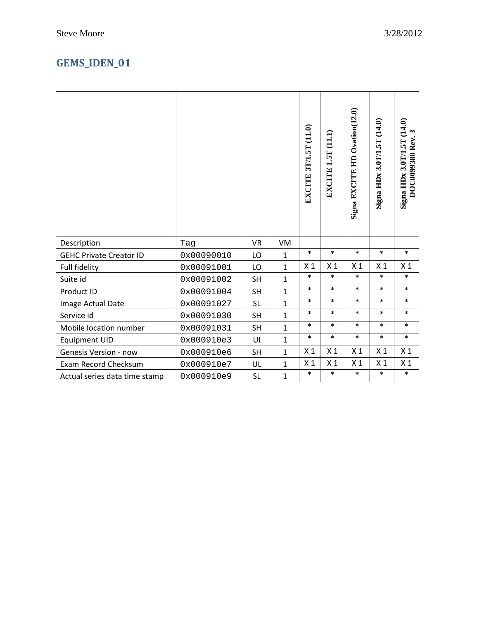## **GEMS\_IDEN\_01**

|                                |            |           |              | EXCITE 3T/1.5T (11.0) | <b>EXCITE 1.5T (11.1)</b> | Signa EXCITE HD Ovation(12.0) | Signa HDx 3.0T/1.5T (14.0) | Signa HDx 3.0T/1.5T (14.0)<br>DOC0099380 Rev. 3 |
|--------------------------------|------------|-----------|--------------|-----------------------|---------------------------|-------------------------------|----------------------------|-------------------------------------------------|
| Description                    | Tag        | <b>VR</b> | VM           |                       |                           |                               |                            |                                                 |
| <b>GEHC Private Creator ID</b> | 0x00090010 |           | $\mathbf{1}$ | $\ast$                | $\ast$                    | $\ast$                        | $\ast$                     | $\ast$                                          |
|                                |            | LO        |              |                       |                           |                               |                            |                                                 |
| Full fidelity                  | 0x00091001 | LO        | $\mathbf{1}$ | X <sub>1</sub>        | X <sub>1</sub>            | X <sub>1</sub>                | X <sub>1</sub>             | X <sub>1</sub>                                  |
| Suite id                       | 0x00091002 | <b>SH</b> | $\mathbf{1}$ | $\ast$                | $\ast$                    | $\ast$                        | $\ast$                     | $\ast$                                          |
| Product ID                     | 0x00091004 | <b>SH</b> | $\mathbf{1}$ | $\ast$                | $\ast$                    | $\ast$                        | $\ast$                     | $\ast$                                          |
| Image Actual Date              | 0x00091027 | <b>SL</b> | $\mathbf{1}$ | $\ast$                | $\ast$                    | $\ast$                        | $\ast$                     | $\ast$                                          |
| Service id                     | 0x00091030 | <b>SH</b> | $\mathbf{1}$ | $\ast$                | $\ast$                    | $\ast$                        | $\ast$                     | $\ast$                                          |
| Mobile location number         | 0x00091031 | <b>SH</b> | $\mathbf{1}$ | $\ast$                | $\ast$                    | $\ast$                        | $\ast$                     | $\ast$                                          |
| <b>Equipment UID</b>           | 0x000910e3 | UI        | $\mathbf{1}$ | $\ast$                | $\ast$                    | $\ast$                        | $\ast$                     | $\ast$                                          |
| <b>Genesis Version - now</b>   | 0x000910e6 | <b>SH</b> | $\mathbf{1}$ | X <sub>1</sub>        | X <sub>1</sub>            | X <sub>1</sub>                | X <sub>1</sub>             | X <sub>1</sub>                                  |
| Exam Record Checksum           | 0x000910e7 | UL        | $\mathbf{1}$ | X <sub>1</sub>        | X <sub>1</sub>            | X <sub>1</sub>                | X <sub>1</sub>             | X <sub>1</sub>                                  |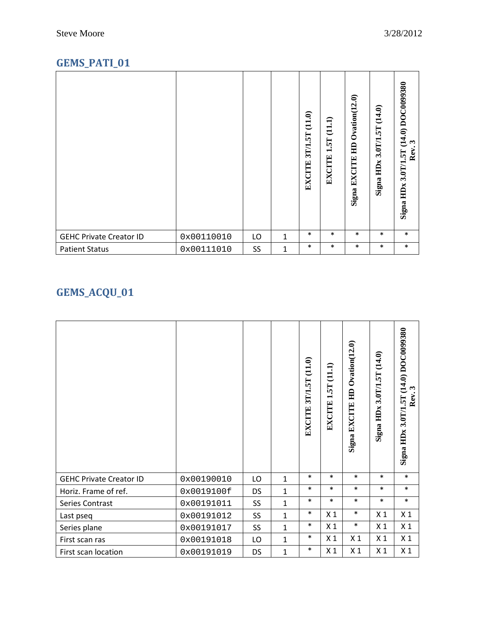## **GEMS\_PATI\_01**

|                                |            |    |              | $(11.0)$<br>3T/1.5T<br><b>EXCITE</b> | (11.1)<br>1.5T<br><b>EXCITE</b> | $O$ vation $(12.0)$<br>旵<br><b>EXCITE</b><br>Signa. | 3.0T/1.5T (14.0)<br>Signa HDx | (14.0) DOC0099380<br>$\boldsymbol{\omega}$<br>$\bullet$<br>Rev.<br>3.0T/1.5T<br>HDx<br>Signa |
|--------------------------------|------------|----|--------------|--------------------------------------|---------------------------------|-----------------------------------------------------|-------------------------------|----------------------------------------------------------------------------------------------|
| <b>GEHC Private Creator ID</b> | 0x00110010 | LO | 1            | $\ast$                               | $\ast$                          | $\ast$                                              | $\ast$                        | $\ast$                                                                                       |
| <b>Patient Status</b>          | 0x00111010 | SS | $\mathbf{1}$ | $\ast$                               | $\ast$                          | $\ast$                                              | $\ast$                        | $\ast$                                                                                       |

## **GEMS\_ACQU\_01**

|                                |            |                 |              | 3T/1.5T (11.0)<br><b>EXCITE</b> | EXCITE 1.5T (11.1) | Signa EXCITE HD Ovation(12.0) | Signa HDx 3.0T/1.5T (14.0) | (14.0) DOC0099380<br>ణ<br>Rev.<br>Signa HDx 3.0T/1.5T |
|--------------------------------|------------|-----------------|--------------|---------------------------------|--------------------|-------------------------------|----------------------------|-------------------------------------------------------|
| <b>GEHC Private Creator ID</b> | 0x00190010 | LO              | $\mathbf{1}$ | $\ast$                          | $\ast$             | $\ast$                        | $\ast$                     | $\ast$                                                |
| Horiz. Frame of ref.           | 0x0019100f | <b>DS</b>       | $\mathbf{1}$ | $\ast$                          | $\ast$             | $\ast$                        | $\ast$                     | $\ast$                                                |
| Series Contrast                | 0x00191011 | SS <sub>1</sub> | $\mathbf{1}$ | $\ast$                          | $\ast$             | $\ast$                        | $\ast$                     | $\ast$                                                |
| Last pseq                      | 0x00191012 | SS <sub>1</sub> | $\mathbf{1}$ | $\ast$                          | X <sub>1</sub>     | $\ast$                        | X <sub>1</sub>             | X <sub>1</sub>                                        |
| Series plane                   | 0x00191017 | SS              | $\mathbf{1}$ | $\ast$                          | X <sub>1</sub>     | $\ast$                        | X <sub>1</sub>             | X <sub>1</sub>                                        |
| First scan ras                 | 0x00191018 | LO              | $\mathbf{1}$ | $\ast$                          | X <sub>1</sub>     | X <sub>1</sub>                | X <sub>1</sub>             | X <sub>1</sub>                                        |
| First scan location            | 0x00191019 | <b>DS</b>       | $\mathbf{1}$ | $\ast$                          | X <sub>1</sub>     | X <sub>1</sub>                | X <sub>1</sub>             | X <sub>1</sub>                                        |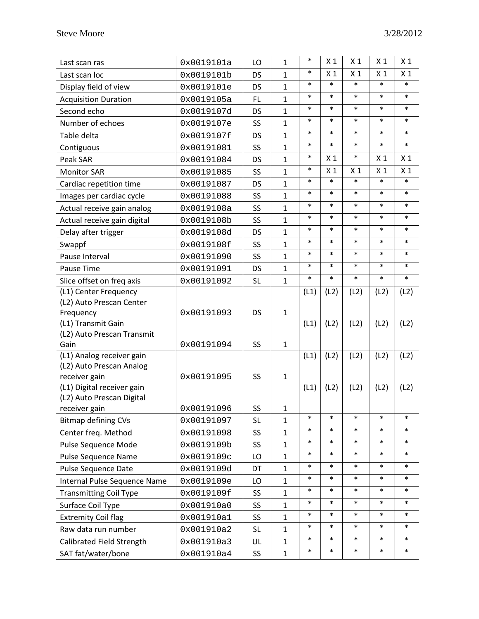| Last scan ras                                         | 0x0019101a | LO        | $\mathbf{1}$   | $\ast$ | X <sub>1</sub> | X <sub>1</sub> | X <sub>1</sub> | X <sub>1</sub> |
|-------------------------------------------------------|------------|-----------|----------------|--------|----------------|----------------|----------------|----------------|
| Last scan loc                                         | 0x0019101b | <b>DS</b> | $\mathbf{1}$   | $\ast$ | X <sub>1</sub> | X <sub>1</sub> | X <sub>1</sub> | X <sub>1</sub> |
| Display field of view                                 | 0x0019101e | <b>DS</b> | $\mathbf{1}$   | $\ast$ | $\ast$         | $\ast$         | $\ast$         | $\ast$         |
| <b>Acquisition Duration</b>                           | 0x0019105a | FL.       | $\mathbf{1}$   | $\ast$ | $\ast$         | $\ast$         | $\ast$         | $\ast$         |
| Second echo                                           | 0x0019107d | <b>DS</b> | $\mathbf{1}$   | $\ast$ | $\ast$         | $\ast$         | $\ast$         | $\ast$         |
| Number of echoes                                      | 0x0019107e | SS        | $\mathbf{1}$   | $\ast$ | $\ast$         | $\ast$         | $\ast$         | $\ast$         |
| Table delta                                           | 0x0019107f | <b>DS</b> | $\mathbf{1}$   | $\ast$ | $\ast$         | $\ast$         | $\ast$         | $\ast$         |
| Contiguous                                            | 0x00191081 | SS        | $\mathbf{1}$   | $\ast$ | $\ast$         | $\ast$         | $\ast$         | $\ast$         |
| Peak SAR                                              | 0x00191084 | DS        | $\mathbf{1}$   | $\ast$ | X <sub>1</sub> | $\ast$         | X <sub>1</sub> | X <sub>1</sub> |
| <b>Monitor SAR</b>                                    | 0x00191085 | <b>SS</b> | $\mathbf{1}$   | $\ast$ | X <sub>1</sub> | X <sub>1</sub> | X <sub>1</sub> | X <sub>1</sub> |
| Cardiac repetition time                               | 0x00191087 | DS        | $\mathbf{1}$   | $\ast$ | $\ast$         | $\ast$         | $\ast$         | $\ast$         |
| Images per cardiac cycle                              | 0x00191088 | SS        | $\overline{1}$ | $\ast$ | $\ast$         | $\ast$         | $\ast$         | $\ast$         |
| Actual receive gain analog                            | 0x0019108a | SS        | $\mathbf{1}$   | $\ast$ | $\ast$         | $\ast$         | $\ast$         | $\ast$         |
| Actual receive gain digital                           | 0x0019108b | SS        | $\mathbf{1}$   | $\ast$ | $\ast$         | $\ast$         | $\ast$         | $\ast$         |
| Delay after trigger                                   | 0x0019108d | <b>DS</b> | $\mathbf{1}$   | $\ast$ | $\ast$         | $\ast$         | $\ast$         | $\ast$         |
| Swappf                                                | 0x0019108f | SS        | $\mathbf{1}$   | $\ast$ | $\ast$         | $\ast$         | $\ast$         | $\ast$         |
| Pause Interval                                        | 0x00191090 | SS        | $\mathbf{1}$   | $\ast$ | $\ast$         | $\ast$         | $\ast$         | $\ast$         |
| Pause Time                                            | 0x00191091 | DS        | $\mathbf{1}$   | $\ast$ | $\ast$         | $\ast$         | $\ast$         | $\ast$         |
| Slice offset on freq axis                             | 0x00191092 | <b>SL</b> | $\mathbf{1}$   | $\ast$ | $\ast$         | $\ast$         | $\ast$         | $\ast$         |
| (L1) Center Frequency                                 |            |           |                | (L1)   | (L2)           | (L2)           | (L2)           | (L2)           |
| (L2) Auto Prescan Center                              |            |           |                |        |                |                |                |                |
| Frequency                                             | 0x00191093 | <b>DS</b> | $\mathbf{1}$   |        |                |                |                |                |
| (L1) Transmit Gain                                    |            |           |                | (L1)   | (L2)           | (L2)           | (L2)           | (L2)           |
| (L2) Auto Prescan Transmit                            |            |           |                |        |                |                |                |                |
| Gain                                                  | 0x00191094 | SS        | $\mathbf{1}$   |        |                |                |                |                |
| (L1) Analog receiver gain<br>(L2) Auto Prescan Analog |            |           |                | (L1)   | (L2)           | (L2)           | (L2)           | (L2)           |
| receiver gain                                         | 0x00191095 | SS        | $\mathbf{1}$   |        |                |                |                |                |
| (L1) Digital receiver gain                            |            |           |                | (L1)   | (L2)           | (L2)           | (L2)           | (L2)           |
| (L2) Auto Prescan Digital                             |            |           |                |        |                |                |                |                |
| receiver gain                                         | 0x00191096 | SS        | 1              |        |                |                |                |                |
| <b>Bitmap defining CVs</b>                            | 0x00191097 | <b>SL</b> | $\mathbf{1}$   | $\ast$ | $\ast$         | $\ast$         | $\ast$         | $\ast$         |
| Center freq. Method                                   | 0x00191098 | SS        | $\mathbf{1}$   | $\ast$ | $\ast$         | $\ast$         | $\ast$         | $\ast$         |
| Pulse Sequence Mode                                   | 0x0019109b | SS        | $\mathbf{1}$   | $\ast$ | $\ast$         | $\ast$         | $\ast$         | $\ast$         |
| Pulse Sequence Name                                   | 0x0019109c | LO        | $\mathbf{1}$   | $\ast$ | $\ast$         | $\ast$         | $\ast$         | $\ast$         |
| Pulse Sequence Date                                   | 0x0019109d | DT        | $\mathbf{1}$   | $\ast$ | $\ast$         | $\ast$         | $\ast$         | $\ast$         |
| Internal Pulse Sequence Name                          | 0x0019109e | LO        | $\mathbf{1}$   | $\ast$ | $\ast$         | $\ast$         | $\ast$         | $\ast$         |
| <b>Transmitting Coil Type</b>                         | 0x0019109f | SS        | $\mathbf{1}$   | $\ast$ | $\ast$         | $\ast$         | $\ast$         | $\ast$         |
| Surface Coil Type                                     | 0x001910a0 | SS        | $\mathbf{1}$   | $\ast$ | $\ast$         | $\ast$         | $\ast$         | $\ast$         |
| <b>Extremity Coil flag</b>                            | 0x001910a1 | SS        | $\mathbf{1}$   | $\ast$ | $\ast$         | $\ast$         | $\ast$         | $\ast$         |
| Raw data run number                                   | 0x001910a2 | <b>SL</b> | $\mathbf{1}$   | $\ast$ | $\ast$         | $\ast$         | $\ast$         | $\ast$         |
| Calibrated Field Strength                             | 0x001910a3 | UL        | $\mathbf{1}$   | $\ast$ | $\ast$         | $\ast$         | $\ast$         | $\ast$         |
| SAT fat/water/bone                                    | 0x001910a4 | SS        | $\mathbf{1}$   | $\ast$ | $\ast$         | $\ast$         | $\ast$         | $\ast$         |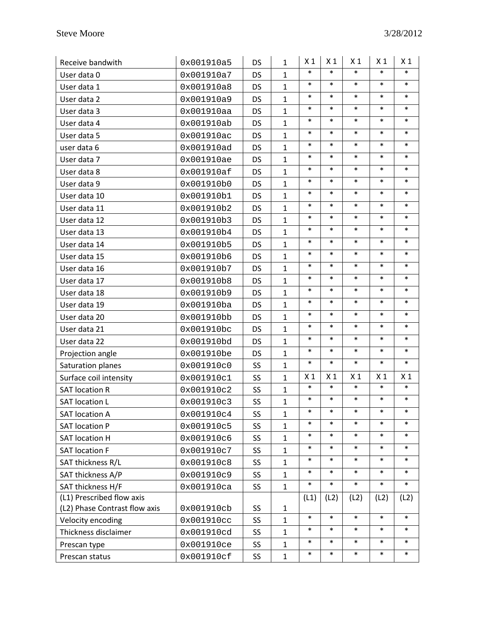| Receive bandwith              | 0x001910a5 | <b>DS</b> | $\mathbf{1}$ | X 1            | X <sub>1</sub> | X <sub>1</sub> | X <sub>1</sub> | X <sub>1</sub> |
|-------------------------------|------------|-----------|--------------|----------------|----------------|----------------|----------------|----------------|
| User data 0                   | 0x001910a7 | <b>DS</b> | $\mathbf{1}$ | $\ast$         | $\ast$         | $\ast$         | $\ast$         | $\ast$         |
| User data 1                   | 0x001910a8 | <b>DS</b> | $\mathbf{1}$ | $\ast$         | $\ast$         | $\ast$         | $\ast$         | $\ast$         |
| User data 2                   | 0x001910a9 | DS        | $\mathbf{1}$ | $\ast$         | $\ast$         | $\ast$         | $\ast$         | $\ast$         |
| User data 3                   | 0x001910aa | <b>DS</b> | $\mathbf{1}$ | $\ast$         | $\ast$         | $\ast$         | $\ast$         | $\ast$         |
| User data 4                   | 0x001910ab | <b>DS</b> | $\mathbf{1}$ | $\ast$         | $\ast$         | $\ast$         | $\ast$         | $\ast$         |
| User data 5                   | 0x001910ac | <b>DS</b> | $\mathbf{1}$ | $\ast$         | $\ast$         | $\ast$         | $\ast$         | $\ast$         |
| user data 6                   | 0x001910ad | <b>DS</b> | $\mathbf{1}$ | $\ast$         | $\ast$         | $\ast$         | $\ast$         | $\ast$         |
| User data 7                   | 0x001910ae | <b>DS</b> | $\mathbf{1}$ | $\ast$         | $\ast$         | $\ast$         | $\ast$         | $\ast$         |
| User data 8                   | 0x001910af | DS        | $\mathbf{1}$ | $\ast$         | $\ast$         | $\ast$         | $\ast$         | $\ast$         |
| User data 9                   | 0x001910b0 | <b>DS</b> | $\mathbf{1}$ | $\ast$         | $\ast$         | $\ast$         | $\ast$         | $\ast$         |
| User data 10                  | 0x001910b1 | <b>DS</b> | $\mathbf{1}$ | $\ast$         | $\ast$         | $\ast$         | $\ast$         | $\ast$         |
| User data 11                  | 0x001910b2 | <b>DS</b> | $\mathbf{1}$ | $\ast$         | $\ast$         | $\ast$         | $\ast$         | $\ast$         |
| User data 12                  | 0x001910b3 | <b>DS</b> | $\mathbf{1}$ | $\ast$         | $\ast$         | $\ast$         | $\ast$         | $\ast$         |
| User data 13                  | 0x001910b4 | <b>DS</b> | $\mathbf{1}$ | $\ast$         | $\ast$         | $\ast$         | $\ast$         | $\ast$         |
| User data 14                  | 0x001910b5 | DS        | $\mathbf{1}$ | $\ast$         | $\ast$         | $\ast$         | $\ast$         | $\ast$         |
| User data 15                  | 0x001910b6 | <b>DS</b> | $\mathbf{1}$ | $\ast$         | $\ast$         | $\ast$         | $\ast$         | $\ast$         |
| User data 16                  | 0x001910b7 | <b>DS</b> | $\mathbf{1}$ | $\ast$         | $\ast$         | $\ast$         | $\ast$         | $\ast$         |
| User data 17                  | 0x001910b8 | DS        | $\mathbf{1}$ | $\ast$         | $\ast$         | $\ast$         | $\ast$         | $\ast$         |
| User data 18                  | 0x001910b9 | <b>DS</b> | $\mathbf{1}$ | $\ast$         | $\ast$         | $\ast$         | $\ast$         | $\ast$         |
| User data 19                  | 0x001910ba | <b>DS</b> | $\mathbf{1}$ | $\ast$         | $\ast$         | $\ast$         | $\ast$         | $\ast$         |
| User data 20                  | 0x001910bb | <b>DS</b> | $\mathbf{1}$ | $\ast$         | $\ast$         | $\ast$         | $\ast$         | $\ast$         |
| User data 21                  | 0x001910bc | <b>DS</b> | $\mathbf{1}$ | $\ast$         | $\ast$         | $\ast$         | $\ast$         | $\ast$         |
| User data 22                  | 0x001910bd | DS        | $\mathbf{1}$ | $\ast$         | $\ast$         | $\ast$         | $\ast$         | $\ast$         |
| Projection angle              | 0x001910be | <b>DS</b> | $\mathbf{1}$ | $\ast$         | $\ast$         | $\ast$         | $\ast$         | $\ast$         |
| Saturation planes             | 0x001910c0 | SS        | $\mathbf{1}$ | $\ast$         | $\ast$         | $\ast$         | $\ast$         | $\ast$         |
| Surface coil intensity        | 0x001910c1 | SS        | $\mathbf{1}$ | X <sub>1</sub> | X <sub>1</sub> | X <sub>1</sub> | X <sub>1</sub> | X <sub>1</sub> |
| <b>SAT location R</b>         | 0x001910c2 | SS        | $\mathbf{1}$ | $\ast$         | $\ast$         | $\ast$         | $\ast$         | $\ast$         |
| <b>SAT location L</b>         | 0x001910c3 | SS        | $\mathbf{1}$ | $\ast$         | $\ast$         | $\ast$         | $\ast$         | $\ast$         |
| <b>SAT location A</b>         | 0x001910c4 | SS        | $\mathbf{1}$ | $\ast$         | $\ast$         | $\ast$         | $\ast$         | $\ast$         |
| <b>SAT location P</b>         | 0x001910c5 | SS        | $\mathbf{1}$ | $\ast$         | $\ast$         | $\ast$         | $\ast$         | $\ast$         |
| <b>SAT location H</b>         | 0x001910c6 | SS        | $\mathbf{1}$ | $\ast$         | $\ast$         | $\ast$         | $\ast$         | $\ast$         |
| <b>SAT location F</b>         | 0x001910c7 | SS        | $\mathbf{1}$ | $\ast$         | $\ast$         | $\ast$         | $\ast$         | $\ast$         |
| SAT thickness R/L             | 0x001910c8 | SS        | $\mathbf{1}$ | $\ast$         | $\ast$         | $\ast$         | $\ast$         | $\ast$         |
| SAT thickness A/P             | 0x001910c9 | SS        | $\mathbf{1}$ | $\ast$         | $\ast$         | $\ast$         | $\ast$         | $\ast$         |
| SAT thickness H/F             | 0x001910ca | SS        | $\mathbf{1}$ | $\ast$         | $\ast$         | $\ast$         | $\ast$         | $\ast$         |
| (L1) Prescribed flow axis     |            |           |              | (L1)           | (L2)           | (L2)           | (L2)           | (L2)           |
| (L2) Phase Contrast flow axis | 0x001910cb | SS        | 1            |                |                |                |                |                |
| Velocity encoding             | 0x001910cc | SS        | $\mathbf{1}$ | $\ast$         | $\ast$         | $\ast$         | $\ast$         | $\ast$         |
| Thickness disclaimer          | 0x001910cd | SS        | $\mathbf{1}$ | $\ast$         | $\ast$         | $\ast$         | $\ast$         | $\ast$         |
| Prescan type                  | 0x001910ce | SS        | $\mathbf{1}$ | $\ast$         | $\ast$         | $\ast$         | $\ast$         | $\ast$         |
| Prescan status                | 0x001910cf | SS        | $\mathbf{1}$ | $\ast$         | $\ast$         | $\ast$         | $\ast$         | $\ast$         |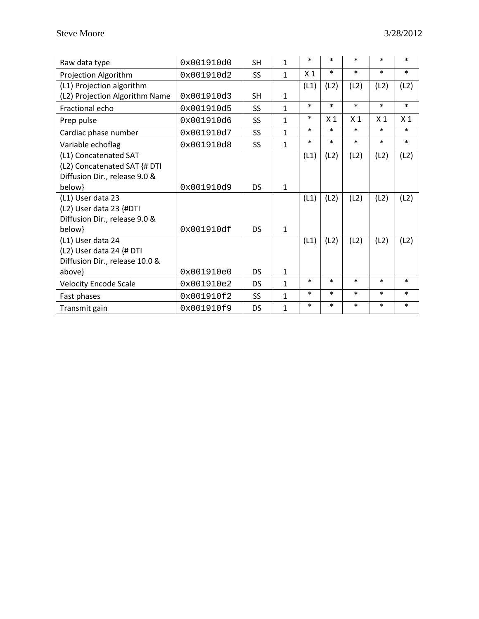| Raw data type                  | 0x001910d0 | <b>SH</b> | $\mathbf{1}$ | $\ast$         | $\ast$         | $\ast$         | $\ast$         | $\ast$         |
|--------------------------------|------------|-----------|--------------|----------------|----------------|----------------|----------------|----------------|
| Projection Algorithm           | 0x001910d2 | <b>SS</b> | 1            | X <sub>1</sub> | $\ast$         | $\ast$         | *              | $\ast$         |
| (L1) Projection algorithm      |            |           |              | (L1)           | (L2)           | (L2)           | (L2)           | (L2)           |
| (L2) Projection Algorithm Name | 0x001910d3 | <b>SH</b> | 1            |                |                |                |                |                |
| Fractional echo                | 0x001910d5 | <b>SS</b> | $\mathbf{1}$ | $\ast$         | $\ast$         | $\ast$         | $\ast$         | $\ast$         |
| Prep pulse                     | 0x001910d6 | <b>SS</b> | $\mathbf{1}$ | $\ast$         | X <sub>1</sub> | X <sub>1</sub> | X <sub>1</sub> | X <sub>1</sub> |
| Cardiac phase number           | 0x001910d7 | <b>SS</b> | 1            | $\ast$         | $\ast$         | $\ast$         | $\ast$         | $\ast$         |
| Variable echoflag              | 0x001910d8 | <b>SS</b> | 1            | $\ast$         | $\ast$         | $\ast$         | $\ast$         | $\ast$         |
| (L1) Concatenated SAT          |            |           |              | (L1)           | (L2)           | (L2)           | (L2)           | (L2)           |
| (L2) Concatenated SAT {# DTI   |            |           |              |                |                |                |                |                |
| Diffusion Dir., release 9.0 &  |            |           |              |                |                |                |                |                |
| below}                         | 0x001910d9 | DS        | $\mathbf{1}$ |                |                |                |                |                |
| (L1) User data 23              |            |           |              | (L1)           | (L2)           | (L2)           | (L2)           | (L2)           |
| (L2) User data 23 {#DTI        |            |           |              |                |                |                |                |                |
| Diffusion Dir., release 9.0 &  |            |           |              |                |                |                |                |                |
| below}                         | 0x001910df | DS.       | $\mathbf{1}$ |                |                |                |                |                |
| (L1) User data 24              |            |           |              | (L1)           | (L2)           | (L2)           | (L2)           | (L2)           |
| (L2) User data 24 {# DTI       |            |           |              |                |                |                |                |                |
| Diffusion Dir., release 10.0 & |            |           |              |                |                |                |                |                |
| above}                         | 0x001910e0 | <b>DS</b> | $\mathbf{1}$ |                |                |                |                |                |
| <b>Velocity Encode Scale</b>   | 0x001910e2 | <b>DS</b> | $\mathbf{1}$ | $\ast$         | $\ast$         | $\ast$         | $\ast$         | $\ast$         |
| Fast phases                    | 0x001910f2 | <b>SS</b> | $\mathbf{1}$ | $\ast$         | $\ast$         | $\ast$         | $\ast$         | $\ast$         |
| Transmit gain                  | 0x001910f9 | DS        | 1            | $\ast$         | $\ast$         | $\ast$         | $\ast$         | $\ast$         |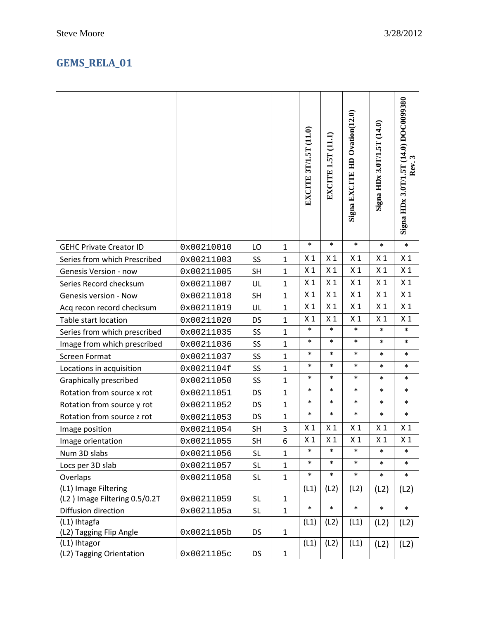## **GEMS\_RELA\_01**

|                                                       |            |           |              | EXCITE 3T/1.5T (11.0) | EXCITE 1.5T (11.1) | Signa EXCITE HD Ovation(12.0) | Signa HDx 3.0T/1.5T (14.0) | Signa HDx 3.0T/1.5T (14.0) DOC0099380<br>Rev. 3 |
|-------------------------------------------------------|------------|-----------|--------------|-----------------------|--------------------|-------------------------------|----------------------------|-------------------------------------------------|
| <b>GEHC Private Creator ID</b>                        | 0x00210010 | LO        | $\mathbf{1}$ | $\ast$                | $\ast$             | $\ast$                        | *                          | $\ast$                                          |
| Series from which Prescribed                          | 0x00211003 | SS        | $\mathbf{1}$ | X <sub>1</sub>        | X <sub>1</sub>     | X <sub>1</sub>                | X <sub>1</sub>             | X <sub>1</sub>                                  |
| <b>Genesis Version - now</b>                          | 0x00211005 | <b>SH</b> | $\mathbf{1}$ | X <sub>1</sub>        | X <sub>1</sub>     | X <sub>1</sub>                | X <sub>1</sub>             | X <sub>1</sub>                                  |
| Series Record checksum                                | 0x00211007 | UL        | $\mathbf{1}$ | X <sub>1</sub>        | X <sub>1</sub>     | X <sub>1</sub>                | X <sub>1</sub>             | X <sub>1</sub>                                  |
| <b>Genesis version - Now</b>                          | 0x00211018 | <b>SH</b> | $\mathbf{1}$ | X <sub>1</sub>        | X <sub>1</sub>     | X <sub>1</sub>                | X <sub>1</sub>             | X <sub>1</sub>                                  |
| Acq recon record checksum                             | 0x00211019 | UL        | $\mathbf{1}$ | X <sub>1</sub>        | X <sub>1</sub>     | X <sub>1</sub>                | X <sub>1</sub>             | X <sub>1</sub>                                  |
| Table start location                                  | 0x00211020 | DS        | $\mathbf{1}$ | X <sub>1</sub>        | X <sub>1</sub>     | X <sub>1</sub>                | X <sub>1</sub>             | X <sub>1</sub>                                  |
| Series from which prescribed                          | 0x00211035 | SS        | $\mathbf{1}$ | $\ast$                | $\ast$             | $\ast$                        | $\ast$                     | $\ast$                                          |
| Image from which prescribed                           | 0x00211036 | SS        | $\mathbf{1}$ | $\ast$                | $\ast$             | $\ast$                        | $\ast$                     | $\ast$                                          |
| <b>Screen Format</b>                                  | 0x00211037 | SS        | $\mathbf{1}$ | $\ast$                | $\ast$             | $\ast$                        | $\ast$                     | $\ast$                                          |
| Locations in acquisition                              | 0x0021104f | SS        | $\mathbf{1}$ | $\ast$                | $\ast$             | $\ast$                        | $\ast$                     | $\ast$                                          |
| <b>Graphically prescribed</b>                         | 0x00211050 | SS        | $\mathbf{1}$ | $\ast$                | $\ast$             | $\ast$                        | *                          | $\ast$                                          |
| Rotation from source x rot                            | 0x00211051 | <b>DS</b> | $\mathbf{1}$ | $\ast$                | $\ast$             | $\ast$                        | *                          | $\ast$                                          |
| Rotation from source y rot                            | 0x00211052 | DS        | $\mathbf{1}$ | $\ast$                | $\ast$             | $\ast$                        | $\ast$                     | $\ast$                                          |
| Rotation from source z rot                            | 0x00211053 | <b>DS</b> | $\mathbf{1}$ | $\ast$                | $\ast$             | $\ast$                        | $\ast$                     | $\ast$                                          |
| Image position                                        | 0x00211054 | <b>SH</b> | 3            | X <sub>1</sub>        | X <sub>1</sub>     | X <sub>1</sub>                | X <sub>1</sub>             | X <sub>1</sub>                                  |
| Image orientation                                     | 0x00211055 | SH        | 6            | X <sub>1</sub>        | X <sub>1</sub>     | X <sub>1</sub>                | X <sub>1</sub>             | X <sub>1</sub>                                  |
| Num 3D slabs                                          | 0x00211056 | <b>SL</b> | $\mathbf{1}$ | $\ast$                | $\ast$             | $\ast$                        | *                          | *                                               |
| Locs per 3D slab                                      | 0x00211057 | <b>SL</b> | $\mathbf{1}$ | $\ast$                | $\ast$             | $\ast$                        | $\ast$                     | $\ast$                                          |
| Overlaps                                              | 0x00211058 | <b>SL</b> | $\mathbf{1}$ | $\ast$                | $\ast$             | $\ast$                        | $\ast$                     | $\ast$                                          |
| (L1) Image Filtering<br>(L2) Image Filtering 0.5/0.2T | 0x00211059 | <b>SL</b> | 1            | (L1)                  | (L2)               | (L2)                          | (L2)                       | (L2)                                            |
| Diffusion direction                                   | 0x0021105a | <b>SL</b> | $\mathbf{1}$ | $\ast$                | $\ast$             | $\ast$                        | $\ast$                     | $\ast$                                          |
| (L1) Ihtagfa<br>(L2) Tagging Flip Angle               | 0x0021105b | <b>DS</b> | $\mathbf{1}$ | (L1)                  | (L2)               | (L1)                          | (L2)                       | (L2)                                            |
| (L1) Ihtagor<br>(L2) Tagging Orientation              | 0x0021105c | <b>DS</b> | $\mathbf{1}$ | (L1)                  | (L2)               | (L1)                          | (L2)                       | (L2)                                            |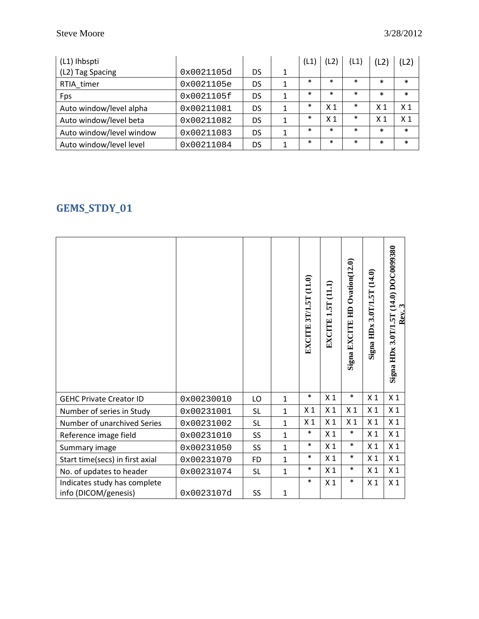| (L1) Ihbspti             |            |           |   | (L1)   |                | (L1)   |                | (L2)           |
|--------------------------|------------|-----------|---|--------|----------------|--------|----------------|----------------|
| (L2) Tag Spacing         | 0x0021105d | DS        | 1 |        |                |        |                |                |
| RTIA timer               | 0x0021105e | <b>DS</b> | 1 | $\ast$ | $\ast$         | $\ast$ | $\ast$         | *              |
| Fps                      | 0x0021105f | DS        |   | $\ast$ | $\ast$         | $\ast$ | $\ast$         | $\ast$         |
| Auto window/level alpha  | 0x00211081 | DS        |   | $\ast$ | X <sub>1</sub> | $\ast$ | X <sub>1</sub> | X <sub>1</sub> |
| Auto window/level beta   | 0x00211082 | DS        | 1 | *      | X <sub>1</sub> | $\ast$ | X <sub>1</sub> | X <sub>1</sub> |
| Auto window/level window | 0x00211083 | DS        |   | $\ast$ | $\ast$         | $\ast$ | $\ast$         | $\ast$         |
| Auto window/level level  | 0x00211084 | DS        |   | $\ast$ | $\ast$         | $\ast$ | $\ast$         | $\ast$         |

## **GEMS\_STDY\_01**

|                                                      |            |           |              | EXCITE 3T/1.5T (11.0) | EXCITE 1.5T (11.1) | $O$ vation $(12.0)$<br>峊<br>Signa EXCITE | (14.0)<br>3.0T/1.5T<br>Signa HDx | Signa HDx 3.0T/1.5T (14.0) DOC0099380<br>Rev. |
|------------------------------------------------------|------------|-----------|--------------|-----------------------|--------------------|------------------------------------------|----------------------------------|-----------------------------------------------|
| <b>GEHC Private Creator ID</b>                       | 0x00230010 | LO        | $\mathbf{1}$ | $\ast$                | X <sub>1</sub>     | $\ast$                                   | X <sub>1</sub>                   | X <sub>1</sub>                                |
| Number of series in Study                            | 0x00231001 | <b>SL</b> | $\mathbf{1}$ | X <sub>1</sub>        | X <sub>1</sub>     | X <sub>1</sub>                           | X <sub>1</sub>                   | X <sub>1</sub>                                |
| Number of unarchived Series                          | 0x00231002 | <b>SL</b> | $\mathbf{1}$ | X <sub>1</sub>        | X <sub>1</sub>     | X <sub>1</sub>                           | X <sub>1</sub>                   | X <sub>1</sub>                                |
| Reference image field                                | 0x00231010 | SS        | $\mathbf{1}$ | $\ast$                | X <sub>1</sub>     | $\ast$                                   | X <sub>1</sub>                   | X <sub>1</sub>                                |
| Summary image                                        | 0x00231050 | SS        | $\mathbf{1}$ | $\ast$                | X <sub>1</sub>     | $\ast$                                   | X <sub>1</sub>                   | X <sub>1</sub>                                |
| Start time(secs) in first axial                      | 0x00231070 | <b>FD</b> | $\mathbf{1}$ | $\ast$                | X <sub>1</sub>     | $\ast$                                   | X <sub>1</sub>                   | X <sub>1</sub>                                |
| No. of updates to header                             | 0x00231074 | <b>SL</b> | $\mathbf{1}$ | $\ast$                | X <sub>1</sub>     | $\ast$                                   | X <sub>1</sub>                   | X <sub>1</sub>                                |
| Indicates study has complete<br>info (DICOM/genesis) | 0x0023107d | SS        | $\mathbf{1}$ | $\ast$                | X <sub>1</sub>     | $\ast$                                   | X <sub>1</sub>                   | X <sub>1</sub>                                |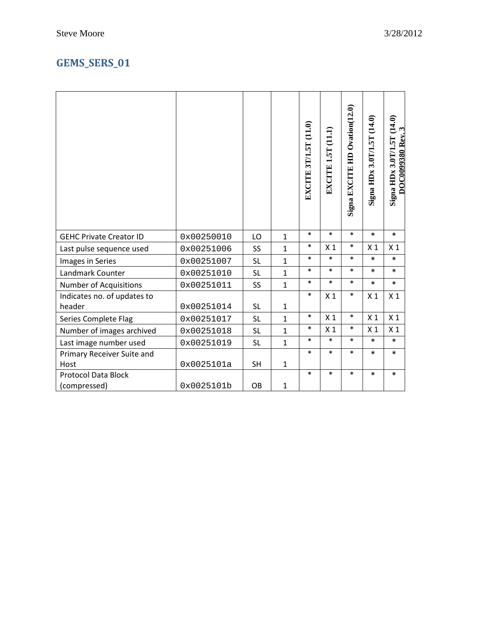|                                       |            |           |              | EXCITE 3T/1.5T (11.0) | EXCITE 1.5T (11.1) | Signa EXCITE HD Ovation(12.0) | Signa HDx 3.0T/1.5T (14.0) | <b>Signa HDx 3.0T/1.5T (14.0)</b><br>DOC0099380 Rev. 3 |
|---------------------------------------|------------|-----------|--------------|-----------------------|--------------------|-------------------------------|----------------------------|--------------------------------------------------------|
| <b>GEHC Private Creator ID</b>        | 0x00250010 | LO        | $\mathbf{1}$ | $\ast$                | $\ast$             | $\ast$                        | $\ast$                     | $\ast$                                                 |
| Last pulse sequence used              | 0x00251006 | SS        | $\mathbf{1}$ | $\ast$                | X <sub>1</sub>     | $\ast$                        | X <sub>1</sub>             | X <sub>1</sub>                                         |
| Images in Series                      | 0x00251007 | <b>SL</b> | $\mathbf{1}$ | $\ast$                | $\ast$             | $\ast$                        | $\ast$                     | $\ast$                                                 |
| Landmark Counter                      | 0x00251010 | <b>SL</b> | $\mathbf{1}$ | $\ast$                | $\ast$             | $\ast$                        | $\ast$                     | $\ast$                                                 |
| Number of Acquisitions                | 0x00251011 | <b>SS</b> | $\mathbf{1}$ | $\ast$                | $\ast$             | $\ast$                        | $\ast$                     | $\ast$                                                 |
| Indicates no. of updates to<br>header | 0x00251014 | <b>SL</b> | $\mathbf{1}$ | $\ast$                | X <sub>1</sub>     | $\ast$                        | X <sub>1</sub>             | X <sub>1</sub>                                         |
| Series Complete Flag                  | 0x00251017 | <b>SL</b> | $\mathbf{1}$ | $\ast$                | X <sub>1</sub>     | $\ast$                        | X <sub>1</sub>             | X <sub>1</sub>                                         |
| Number of images archived             | 0x00251018 | <b>SL</b> | $\mathbf{1}$ | $\ast$                | X <sub>1</sub>     | $\ast$                        | X <sub>1</sub>             | X <sub>1</sub>                                         |
| Last image number used                | 0x00251019 | <b>SL</b> | $\mathbf{1}$ | $\ast$                | $\ast$             | $\ast$                        | $\ast$                     | $\ast$                                                 |
| Primary Receiver Suite and            |            |           |              | $\ast$                | $\ast$             | $\ast$                        | $\ast$                     | $\ast$                                                 |
| Host                                  | 0x0025101a | <b>SH</b> | $\mathbf{1}$ |                       |                    |                               |                            |                                                        |
| <b>Protocol Data Block</b>            |            |           |              | $\ast$                | $\ast$             | $\ast$                        | $\ast$                     | $\ast$                                                 |
| (compressed)                          | 0x0025101b | OB        | 1            |                       |                    |                               |                            |                                                        |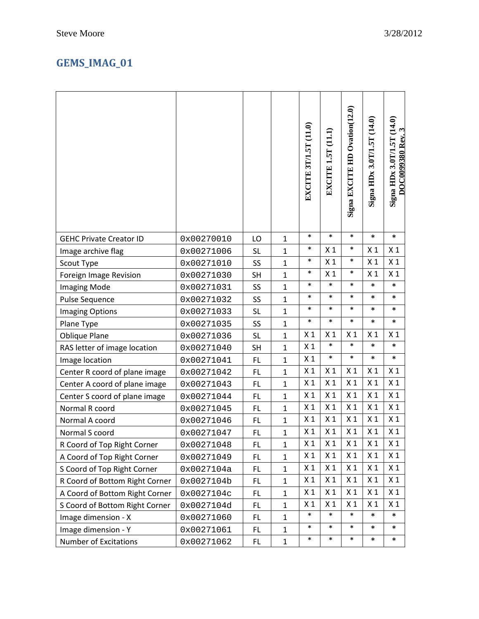## **GEMS\_IMAG\_01**

|                                |            |           |              | EXCITE 3T/1.5T (11.0) | EXCITE 1.5T (11.1) | Signa EXCITE HD Ovation(12.0) | (14.0)<br>Signa HDx 3.0T/1.5T | Signa HDx 3.0T/1.5T (14.0)<br>$\mathbf{\hat{z}}$<br><b>DOC0099380 Rev.</b> |
|--------------------------------|------------|-----------|--------------|-----------------------|--------------------|-------------------------------|-------------------------------|----------------------------------------------------------------------------|
| <b>GEHC Private Creator ID</b> | 0x00270010 | LO        | $\mathbf{1}$ | $\ast$                | $\ast$             | $\ast$                        | $\ast$                        | $\ast$                                                                     |
| Image archive flag             | 0x00271006 | <b>SL</b> | $\mathbf 1$  | $\ast$                | X <sub>1</sub>     | $\ast$                        | X <sub>1</sub>                | X <sub>1</sub>                                                             |
| Scout Type                     | 0x00271010 | SS        | $\mathbf{1}$ | $\ast$                | X <sub>1</sub>     | $\ast$                        | X <sub>1</sub>                | X <sub>1</sub>                                                             |
| Foreign Image Revision         | 0x00271030 | <b>SH</b> | $\mathbf{1}$ | $\ast$                | X <sub>1</sub>     | $\ast$                        | X <sub>1</sub>                | X <sub>1</sub>                                                             |
| <b>Imaging Mode</b>            | 0x00271031 | SS        | $\mathbf{1}$ | $\ast$                | $\ast$             | $\ast$                        | $\ast$                        | *                                                                          |
| Pulse Sequence                 | 0x00271032 | SS        | $\mathbf{1}$ | $\ast$                | $\ast$             | $\ast$                        | *                             | *                                                                          |
| Imaging Options                | 0x00271033 | <b>SL</b> | $\mathbf{1}$ | $\ast$                | $\ast$             | $\ast$                        | *                             | *                                                                          |
| Plane Type                     | 0x00271035 | SS        | $\mathbf{1}$ | $\ast$                | $\ast$             | $\ast$                        | *                             | $\ast$                                                                     |
| <b>Oblique Plane</b>           | 0x00271036 | <b>SL</b> | $\mathbf{1}$ | X <sub>1</sub>        | X <sub>1</sub>     | X <sub>1</sub>                | X <sub>1</sub>                | X <sub>1</sub>                                                             |
| RAS letter of image location   | 0x00271040 | <b>SH</b> | $\mathbf{1}$ | X <sub>1</sub>        | $\ast$             | $\ast$                        | $\ast$                        | $\ast$                                                                     |
| Image location                 | 0x00271041 | FL        | $\mathbf{1}$ | X <sub>1</sub>        | $\ast$             | $\ast$                        | $\ast$                        | *                                                                          |
| Center R coord of plane image  | 0x00271042 | FL        | $\mathbf 1$  | X <sub>1</sub>        | X <sub>1</sub>     | X <sub>1</sub>                | X <sub>1</sub>                | X <sub>1</sub>                                                             |
| Center A coord of plane image  | 0x00271043 | FL        | $\mathbf 1$  | X <sub>1</sub>        | X <sub>1</sub>     | X <sub>1</sub>                | X <sub>1</sub>                | X <sub>1</sub>                                                             |
| Center S coord of plane image  | 0x00271044 | <b>FL</b> | $\mathbf{1}$ | X <sub>1</sub>        | X <sub>1</sub>     | X <sub>1</sub>                | X <sub>1</sub>                | X <sub>1</sub>                                                             |
| Normal R coord                 | 0x00271045 | <b>FL</b> | $\mathbf{1}$ | X <sub>1</sub>        | X <sub>1</sub>     | X <sub>1</sub>                | X <sub>1</sub>                | X <sub>1</sub>                                                             |
| Normal A coord                 | 0x00271046 | FL.       | $\mathbf{1}$ | X <sub>1</sub>        | X <sub>1</sub>     | X <sub>1</sub>                | X <sub>1</sub>                | X <sub>1</sub>                                                             |
| Normal S coord                 | 0x00271047 | <b>FL</b> | $\mathbf{1}$ | X <sub>1</sub>        | X <sub>1</sub>     | X <sub>1</sub>                | X <sub>1</sub>                | X <sub>1</sub>                                                             |
| R Coord of Top Right Corner    | 0x00271048 | <b>FL</b> | $\mathbf{1}$ | X 1                   | X 1                | X 1                           | X <sub>1</sub>                | X 1                                                                        |
| A Coord of Top Right Corner    | 0x00271049 | <b>FL</b> | 1            | X <sub>1</sub>        | X <sub>1</sub>     | X <sub>1</sub>                | X <sub>1</sub>                | X <sub>1</sub>                                                             |
| S Coord of Top Right Corner    | 0x0027104a | FL        | $\mathbf{1}$ | X <sub>1</sub>        | X <sub>1</sub>     | X <sub>1</sub>                | X <sub>1</sub>                | X <sub>1</sub>                                                             |
| R Coord of Bottom Right Corner | 0x0027104b | FL        | 1            | X <sub>1</sub>        | X <sub>1</sub>     | X <sub>1</sub>                | X <sub>1</sub>                | X <sub>1</sub>                                                             |
| A Coord of Bottom Right Corner | 0x0027104c | FL        | $\mathbf{1}$ | X <sub>1</sub>        | X <sub>1</sub>     | X <sub>1</sub>                | X <sub>1</sub>                | X <sub>1</sub>                                                             |
| S Coord of Bottom Right Corner | 0x0027104d | FL.       | $\mathbf{1}$ | X <sub>1</sub>        | X <sub>1</sub>     | X <sub>1</sub>                | X <sub>1</sub>                | X <sub>1</sub>                                                             |
| Image dimension - X            | 0x00271060 | FL        | 1            | $\ast$                | $\ast$             | $\ast$                        | $\ast$                        | *                                                                          |
| Image dimension - Y            | 0x00271061 | <b>FL</b> | $\mathbf{1}$ | $\ast$                | $\ast$             | $\ast$                        | *                             | *                                                                          |
| Number of Excitations          | 0x00271062 | <b>FL</b> | $\mathbf{1}$ | $\ast$                | $\ast$             | $\ast$                        | $\ast$                        | $\ast$                                                                     |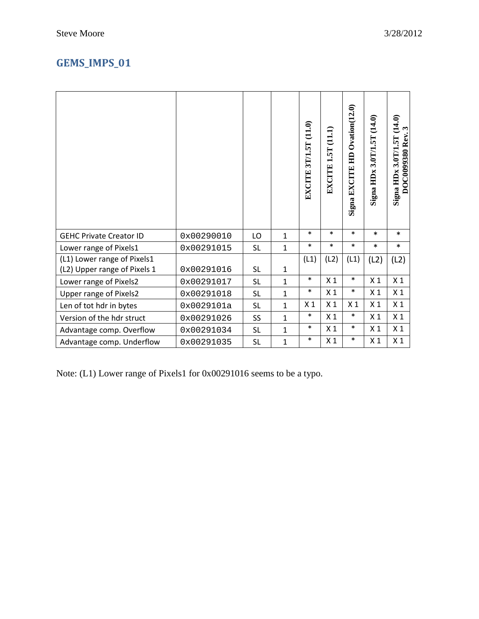## **GEMS\_IMPS\_01**

|                                |            |           |              | (11.0)<br>3T/1.5T<br><b>EXCITE</b> | (11.1)<br>EXCITE 1.5T | Signa EXCITE HD Ovation(12.0) | Signa HDx 3.0T/1.5T (14.0) | (14.0)<br>DOC0099380 Rev. 3<br>Signa HDx 3.0T/1.5T |
|--------------------------------|------------|-----------|--------------|------------------------------------|-----------------------|-------------------------------|----------------------------|----------------------------------------------------|
| <b>GEHC Private Creator ID</b> | 0x00290010 | LO        | 1            | $\ast$                             | $\ast$                | $\ast$                        | $\ast$                     | $\ast$                                             |
| Lower range of Pixels1         | 0x00291015 | <b>SL</b> | $\mathbf{1}$ | $\ast$                             | $\ast$                | $\ast$                        | $\ast$                     | $\ast$                                             |
| (L1) Lower range of Pixels1    |            |           |              | (L1)                               | (L2)                  | (L1)                          | (L2)                       | (L2)                                               |
| (L2) Upper range of Pixels 1   | 0x00291016 | <b>SL</b> | 1            |                                    |                       |                               |                            |                                                    |
| Lower range of Pixels2         | 0x00291017 | <b>SL</b> | $\mathbf{1}$ | $\ast$                             | X <sub>1</sub>        | $\ast$                        | X <sub>1</sub>             | X <sub>1</sub>                                     |
| <b>Upper range of Pixels2</b>  | 0x00291018 | <b>SL</b> | $\mathbf{1}$ | $\ast$                             | X <sub>1</sub>        | $\ast$                        | X <sub>1</sub>             | X <sub>1</sub>                                     |
| Len of tot hdr in bytes        | 0x0029101a | <b>SL</b> | $\mathbf{1}$ | X <sub>1</sub>                     | X <sub>1</sub>        | X <sub>1</sub>                | X <sub>1</sub>             | X <sub>1</sub>                                     |
| Version of the hdr struct      | 0x00291026 | SS        | $\mathbf{1}$ | $\ast$                             | X <sub>1</sub>        | $\ast$                        | X <sub>1</sub>             | X <sub>1</sub>                                     |
| Advantage comp. Overflow       | 0x00291034 | <b>SL</b> | 1            | $\ast$                             | X <sub>1</sub>        | $\ast$                        | X <sub>1</sub>             | X <sub>1</sub>                                     |
| Advantage comp. Underflow      | 0x00291035 | <b>SL</b> | $\mathbf{1}$ | $\ast$                             | X <sub>1</sub>        | $\ast$                        | X <sub>1</sub>             | X <sub>1</sub>                                     |

Note: (L1) Lower range of Pixels1 for 0x00291016 seems to be a typo.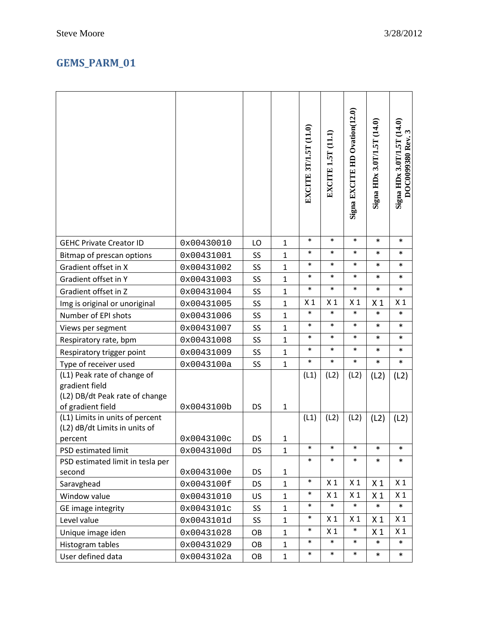## **GEMS\_PARM\_01**

|                                                                                                      |            |           |              | EXCITE 3T/1.5T (11.0) | EXCITE 1.5T (11.1) | Signa EXCITE HD Ovation(12.0) | Signa HDx $3.0$ T/1.5T (14.0) | Signa HDx 3.0T/1.5T (14.0)<br>$\boldsymbol{\omega}$<br>DOC0099380 Rev. |
|------------------------------------------------------------------------------------------------------|------------|-----------|--------------|-----------------------|--------------------|-------------------------------|-------------------------------|------------------------------------------------------------------------|
| <b>GEHC Private Creator ID</b>                                                                       | 0x00430010 | LO        | $\mathbf{1}$ | $\ast$                | $\ast$             | $\ast$                        | $\ast$                        | $\ast$                                                                 |
| Bitmap of prescan options                                                                            | 0x00431001 | SS        | $\mathbf{1}$ | $\ast$                | $\ast$             | $\ast$                        | *                             | *                                                                      |
| Gradient offset in X                                                                                 | 0x00431002 | SS        | $\mathbf{1}$ | $\ast$                | $\ast$             | $\ast$                        | *                             | ∗                                                                      |
| Gradient offset in Y                                                                                 | 0x00431003 | SS        | $\mathbf{1}$ | $\ast$                | $\ast$             | $\ast$                        | *                             | $\ast$                                                                 |
| Gradient offset in Z                                                                                 | 0x00431004 | SS        | $\mathbf{1}$ | $\ast$                | $\ast$             | $\ast$                        | $\ast$                        | $\ast$                                                                 |
| Img is original or unoriginal                                                                        | 0x00431005 | SS        | $\mathbf{1}$ | X <sub>1</sub>        | X <sub>1</sub>     | X <sub>1</sub>                | X <sub>1</sub>                | X <sub>1</sub>                                                         |
| Number of EPI shots                                                                                  | 0x00431006 | SS        | $\mathbf{1}$ | $\ast$                | $\ast$             | $\ast$                        | $\ast$                        | *                                                                      |
| Views per segment                                                                                    | 0x00431007 | SS        | $\mathbf{1}$ | $\ast$                | $\ast$             | $\ast$                        | *                             | *                                                                      |
| Respiratory rate, bpm                                                                                | 0x00431008 | SS        | $\mathbf{1}$ | $\ast$                | $\ast$             | $\ast$                        | *                             | *                                                                      |
| Respiratory trigger point                                                                            | 0x00431009 | SS        | $\mathbf{1}$ | $\ast$                | $\ast$             | $\ast$                        | *                             | $\ast$                                                                 |
| Type of receiver used                                                                                | 0x0043100a | SS        | $\mathbf{1}$ | $\ast$                | $\ast$             | $\ast$                        | *                             | $\ast$                                                                 |
| (L1) Peak rate of change of<br>gradient field<br>(L2) DB/dt Peak rate of change<br>of gradient field | 0x0043100b | DS        | $\mathbf{1}$ | (L1)                  | (L2)               | (L2)                          | (L2)                          | (L2)                                                                   |
| (L1) Limits in units of percent<br>(L2) dB/dt Limits in units of                                     | 0x0043100c | <b>DS</b> | $\mathbf{1}$ | (L1)                  | (L2)               | (L2)                          | (L2)                          | (L2)                                                                   |
| percent                                                                                              |            |           | $\mathbf{1}$ | $\ast$                | $\ast$             | $\ast$                        | $\ast$                        | $\ast$                                                                 |
| PSD estimated limit<br>PSD estimated limit in tesla per                                              | 0x0043100d | <b>DS</b> |              | $\ast$                | $\ast$             | $\ast$                        | $\ast$                        | $\ast$                                                                 |
| second                                                                                               | 0x0043100e | DS        | $\mathbf{1}$ |                       |                    |                               |                               |                                                                        |
| Saravghead                                                                                           | 0x0043100f | <b>DS</b> | $\mathbf{1}$ | $\ast$                | X <sub>1</sub>     | X <sub>1</sub>                | X <sub>1</sub>                | X <sub>1</sub>                                                         |
| Window value                                                                                         | 0x00431010 | US        | $\mathbf{1}$ | $\ast$                | X <sub>1</sub>     | X <sub>1</sub>                | X <sub>1</sub>                | X <sub>1</sub>                                                         |
| GE image integrity                                                                                   | 0x0043101c | SS        | $\mathbf{1}$ | $\ast$                | $\ast$             | $\ast$                        | $\ast$                        | *                                                                      |
| Level value                                                                                          | 0x0043101d | SS        | $\mathbf{1}$ | $\ast$                | X <sub>1</sub>     | X <sub>1</sub>                | X <sub>1</sub>                | X <sub>1</sub>                                                         |
| Unique image iden                                                                                    | 0x00431028 | OB        | $\mathbf 1$  | $\ast$                | X <sub>1</sub>     | $\ast$                        | X <sub>1</sub>                | X <sub>1</sub>                                                         |
| Histogram tables                                                                                     | 0x00431029 | OB        | $\mathbf 1$  | $\ast$                | $\ast$             | $\ast$                        | $\ast$                        | $\ast$                                                                 |
| User defined data                                                                                    | 0x0043102a | OB        | $\mathbf{1}$ | $\ast$                | $\ast$             | $\ast$                        | $\ast$                        | $\ast$                                                                 |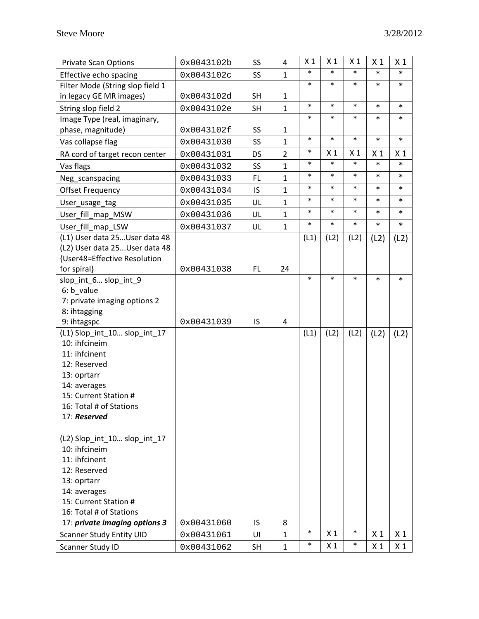| <b>Private Scan Options</b>                 | 0x0043102b | SS        | 4              | X <sub>1</sub> | X <sub>1</sub> | X <sub>1</sub> | X <sub>1</sub> | X <sub>1</sub> |
|---------------------------------------------|------------|-----------|----------------|----------------|----------------|----------------|----------------|----------------|
| Effective echo spacing                      | 0x0043102c | SS        | $\mathbf{1}$   | $\ast$         | $\ast$         | $\ast$         | *              | $\ast$         |
| Filter Mode (String slop field 1            |            |           |                | $\ast$         | $\ast$         | $\ast$         | $\ast$         | $\ast$         |
| in legacy GE MR images)                     | 0x0043102d | <b>SH</b> | $\mathbf{1}$   |                |                |                |                |                |
| String slop field 2                         | 0x0043102e | <b>SH</b> | $\mathbf{1}$   | $\ast$         | $\ast$         | $\ast$         | *              | $\ast$         |
| Image Type (real, imaginary,                |            |           |                | $\ast$         | $\ast$         | $\ast$         | $\ast$         | $\ast$         |
| phase, magnitude)                           | 0x0043102f | SS        | $\mathbf{1}$   |                |                |                |                |                |
| Vas collapse flag                           | 0x00431030 | SS        | $\mathbf{1}$   | $\ast$         | $\ast$         | $\ast$         | $\ast$         | $\ast$         |
| RA cord of target recon center              | 0x00431031 | DS        | $\overline{2}$ | $\ast$         | X <sub>1</sub> | X <sub>1</sub> | X <sub>1</sub> | X <sub>1</sub> |
| Vas flags                                   | 0x00431032 | SS        | $\mathbf{1}$   | $\ast$         | $\ast$         | $\ast$         | $\ast$         | $\ast$         |
| Neg_scanspacing                             | 0x00431033 | <b>FL</b> | $\mathbf{1}$   | $\ast$         | $\ast$         | $\ast$         | *              | $\ast$         |
| <b>Offset Frequency</b>                     | 0x00431034 | IS        | $\mathbf{1}$   | $\ast$         | $\ast$         | $\ast$         | *              | $\ast$         |
| User_usage_tag                              | 0x00431035 | UL        | $\mathbf{1}$   | $\ast$         | $\ast$         | $\ast$         | $\ast$         | $\ast$         |
| User_fill_map_MSW                           | 0x00431036 | UL        | $\mathbf{1}$   | $\ast$         | $\ast$         | $\ast$         | $\ast$         | $\ast$         |
| User_fill_map_LSW                           | 0x00431037 | UL        | $\mathbf{1}$   | $\ast$         | $\ast$         | $\ast$         | $\ast$         | *              |
| (L1) User data 25User data 48               |            |           |                | (L1)           | (L2)           | (L2)           | (L2)           | (L2)           |
| (L2) User data 25User data 48               |            |           |                |                |                |                |                |                |
| {User48=Effective Resolution                |            |           |                |                |                |                |                |                |
| for spiral}                                 | 0x00431038 | FL.       | 24             |                |                |                |                |                |
| slop_int_6 slop_int_9                       |            |           |                | $\ast$         | $\ast$         | $\ast$         | *              | $\ast$         |
| 6: b_value                                  |            |           |                |                |                |                |                |                |
| 7: private imaging options 2                |            |           |                |                |                |                |                |                |
| 8: ihtagging                                |            |           |                |                |                |                |                |                |
| 9: ihtagspc<br>(L1) Slop_int_10 slop_int_17 | 0x00431039 | IS        | 4              | (L1)           | (L2)           | (L2)           |                |                |
| 10: ihfcineim                               |            |           |                |                |                |                | (L2)           | (L2)           |
| 11: ihfcinent                               |            |           |                |                |                |                |                |                |
| 12: Reserved                                |            |           |                |                |                |                |                |                |
| 13: oprtarr                                 |            |           |                |                |                |                |                |                |
| 14: averages                                |            |           |                |                |                |                |                |                |
| 15: Current Station #                       |            |           |                |                |                |                |                |                |
| 16: Total # of Stations                     |            |           |                |                |                |                |                |                |
| 17: Reserved                                |            |           |                |                |                |                |                |                |
|                                             |            |           |                |                |                |                |                |                |
| (L2) Slop_int_10 slop_int_17                |            |           |                |                |                |                |                |                |
| 10: ihfcineim                               |            |           |                |                |                |                |                |                |
| 11: ihfcinent                               |            |           |                |                |                |                |                |                |
| 12: Reserved                                |            |           |                |                |                |                |                |                |
| 13: oprtarr                                 |            |           |                |                |                |                |                |                |
| 14: averages                                |            |           |                |                |                |                |                |                |
| 15: Current Station #                       |            |           |                |                |                |                |                |                |
| 16: Total # of Stations                     |            |           |                |                |                |                |                |                |
| 17: private imaging options 3               | 0x00431060 | IS        | 8              |                |                |                |                |                |
| <b>Scanner Study Entity UID</b>             | 0x00431061 | UI        | $\mathbf{1}$   | $\ast$         | X <sub>1</sub> | $\ast$         | X <sub>1</sub> | X <sub>1</sub> |
| Scanner Study ID                            | 0x00431062 | <b>SH</b> | $\mathbf{1}$   | $\ast$         | X <sub>1</sub> | $\ast$         | X <sub>1</sub> | X <sub>1</sub> |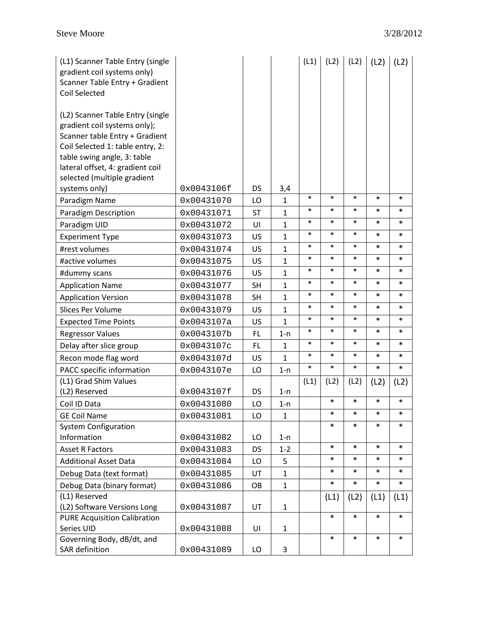| (L1) Scanner Table Entry (single<br>gradient coil systems only)<br>Scanner Table Entry + Gradient<br>Coil Selected                     |            |           |              | (L1)   | (L2)   | (L2)   | (L2)   | (L2)   |
|----------------------------------------------------------------------------------------------------------------------------------------|------------|-----------|--------------|--------|--------|--------|--------|--------|
| (L2) Scanner Table Entry (single<br>gradient coil systems only);<br>Scanner table Entry + Gradient<br>Coil Selected 1: table entry, 2: |            |           |              |        |        |        |        |        |
| table swing angle, 3: table<br>lateral offset, 4: gradient coil                                                                        |            |           |              |        |        |        |        |        |
| selected (multiple gradient                                                                                                            |            |           |              |        |        |        |        |        |
| systems only)                                                                                                                          | 0x0043106f | DS        | 3,4          |        |        |        |        |        |
| Paradigm Name                                                                                                                          | 0x00431070 | LO        | $\mathbf{1}$ | $\ast$ | $\ast$ | $\ast$ | *      | $\ast$ |
| Paradigm Description                                                                                                                   | 0x00431071 | <b>ST</b> | $\mathbf{1}$ | $\ast$ | $\ast$ | $\ast$ | *      | *      |
| Paradigm UID                                                                                                                           | 0x00431072 | UI        | $\mathbf{1}$ | $\ast$ | $\ast$ | $\ast$ | *      | $\ast$ |
| <b>Experiment Type</b>                                                                                                                 | 0x00431073 | US        | $\mathbf{1}$ | $\ast$ | $\ast$ | $\ast$ | *      | *      |
| #rest volumes                                                                                                                          | 0x00431074 | US        | $\mathbf{1}$ | $\ast$ | $\ast$ | $\ast$ | *      | $\ast$ |
| #active volumes                                                                                                                        | 0x00431075 | US        | $\mathbf{1}$ | $\ast$ | $\ast$ | $\ast$ | $\ast$ | $\ast$ |
| #dummy scans                                                                                                                           | 0x00431076 | US        | $\mathbf{1}$ | $\ast$ | $\ast$ | $\ast$ | *      | $\ast$ |
| <b>Application Name</b>                                                                                                                | 0x00431077 | <b>SH</b> | $\mathbf{1}$ | $\ast$ | $\ast$ | $\ast$ | *      | $\ast$ |
| <b>Application Version</b>                                                                                                             | 0x00431078 | <b>SH</b> | $\mathbf{1}$ | $\ast$ | $\ast$ | $\ast$ | *      | *      |
| Slices Per Volume                                                                                                                      | 0x00431079 | US        | $\mathbf{1}$ | $\ast$ | $\ast$ | $\ast$ | *      | $\ast$ |
| <b>Expected Time Points</b>                                                                                                            | 0x0043107a | US        | $\mathbf{1}$ | $\ast$ | $\ast$ | $\ast$ | *      | *      |
| <b>Regressor Values</b>                                                                                                                | 0x0043107b | FL        | $1-n$        | $\ast$ | $\ast$ | $\ast$ | *      | *      |
| Delay after slice group                                                                                                                | 0x0043107c | FL.       | $\mathbf{1}$ | $\ast$ | $\ast$ | $\ast$ | *      | $\ast$ |
| Recon mode flag word                                                                                                                   | 0x0043107d | US        | $\mathbf{1}$ | $\ast$ | $\ast$ | $\ast$ | *      | $\ast$ |
| PACC specific information                                                                                                              | 0x0043107e | LO        | $1-n$        | $\ast$ | $\ast$ | $\ast$ | $\ast$ | $\ast$ |
| (L1) Grad Shim Values<br>(L2) Reserved                                                                                                 | 0x0043107f | DS        | $1-n$        | (L1)   | (L2)   | (L2)   | (L2)   | (L2)   |
| Coil ID Data                                                                                                                           | 0x00431080 | LO        | $1 - n$      |        | $\ast$ | $\ast$ | $\ast$ | $\ast$ |
| <b>GE Coil Name</b>                                                                                                                    | 0x00431081 | LO        | $\mathbf{1}$ |        | *      | *      | $\ast$ | $\ast$ |
| <b>System Configuration</b>                                                                                                            |            |           |              |        | *      | $\ast$ | *      | $\ast$ |
| Information                                                                                                                            | 0x00431082 | LO        | $1 - n$      |        |        |        |        |        |
| <b>Asset R Factors</b>                                                                                                                 | 0x00431083 | DS        | $1 - 2$      |        | $\ast$ | $\ast$ | $\ast$ | $\ast$ |
| <b>Additional Asset Data</b>                                                                                                           | 0x00431084 | LO        | 5            |        | *      | *      | *      | $\ast$ |
| Debug Data (text format)                                                                                                               | 0x00431085 | UT        | $\mathbf{1}$ |        | $\ast$ | *      | *      | $\ast$ |
| Debug Data (binary format)                                                                                                             | 0x00431086 | OB        | $\mathbf{1}$ |        | *      | $\ast$ | $\ast$ | $\ast$ |
| (L1) Reserved                                                                                                                          |            |           |              |        | (L1)   | (L2)   | (L1)   | (L1)   |
| (L2) Software Versions Long                                                                                                            | 0x00431087 | UT        | $\mathbf{1}$ |        | $\ast$ | $\ast$ | $\ast$ | $\ast$ |
| <b>PURE Acquisition Calibration</b><br>Series UID                                                                                      | 0x00431088 | UI        | $\mathbf{1}$ |        |        |        |        |        |
| Governing Body, dB/dt, and                                                                                                             |            |           |              |        | *      | $\ast$ | *      | $\ast$ |
| SAR definition                                                                                                                         | 0x00431089 | LO        | 3            |        |        |        |        |        |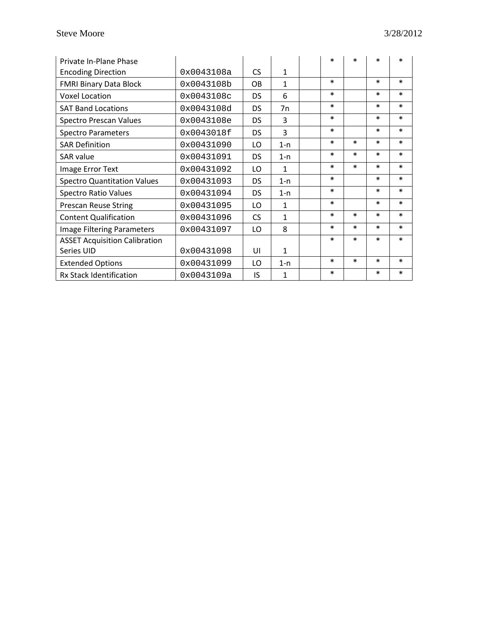| Private In-Plane Phase               |            |           |              | $\ast$ | $\ast$ | $\ast$ | $\ast$ |
|--------------------------------------|------------|-----------|--------------|--------|--------|--------|--------|
| <b>Encoding Direction</b>            | 0x0043108a | <b>CS</b> | $\mathbf{1}$ |        |        |        |        |
| <b>FMRI Binary Data Block</b>        | 0x0043108b | OB        | $\mathbf{1}$ | $\ast$ |        | $\ast$ | $\ast$ |
| <b>Voxel Location</b>                | 0x0043108c | <b>DS</b> | 6            | $\ast$ |        | $\ast$ | $\ast$ |
| <b>SAT Band Locations</b>            | 0x0043108d | DS        | 7n           | $\ast$ |        | $\ast$ | $\ast$ |
| <b>Spectro Prescan Values</b>        | 0x0043108e | <b>DS</b> | 3            | $\ast$ |        | $\ast$ | $\ast$ |
| <b>Spectro Parameters</b>            | 0x0043018f | DS        | 3            | $\ast$ |        | $\ast$ | $\ast$ |
| <b>SAR Definition</b>                | 0x00431090 | LO        | $1 - n$      | $\ast$ | $\ast$ | $\ast$ | $\ast$ |
| <b>SAR</b> value                     | 0x00431091 | <b>DS</b> | $1 - n$      | $\ast$ | $\ast$ | $\ast$ | $\ast$ |
| Image Error Text                     | 0x00431092 | LO        | $\mathbf{1}$ | $\ast$ | $\ast$ | $\ast$ | $\ast$ |
| <b>Spectro Quantitation Values</b>   | 0x00431093 | <b>DS</b> | $1 - n$      | $\ast$ |        | $\ast$ | $\ast$ |
| <b>Spectro Ratio Values</b>          | 0x00431094 | <b>DS</b> | $1-n$        | $\ast$ |        | $\ast$ | $\ast$ |
| <b>Prescan Reuse String</b>          | 0x00431095 | LO        | $\mathbf{1}$ | $\ast$ |        | $\ast$ | $\ast$ |
| <b>Content Qualification</b>         | 0x00431096 | <b>CS</b> | $\mathbf{1}$ | $\ast$ | $\ast$ | $\ast$ | $\ast$ |
| Image Filtering Parameters           | 0x00431097 | LO        | 8            | $\ast$ | $\ast$ | $\ast$ | $\ast$ |
| <b>ASSET Acquisition Calibration</b> |            |           |              | *      | $\ast$ | $\ast$ | $\ast$ |
| Series UID                           | 0x00431098 | UI        | 1            |        |        |        |        |
| <b>Extended Options</b>              | 0x00431099 | LO        | $1 - n$      | $\ast$ | $\ast$ | $\ast$ | $\ast$ |
| <b>Rx Stack Identification</b>       | 0x0043109a | IS        | 1            | $\ast$ |        | $\ast$ | $\ast$ |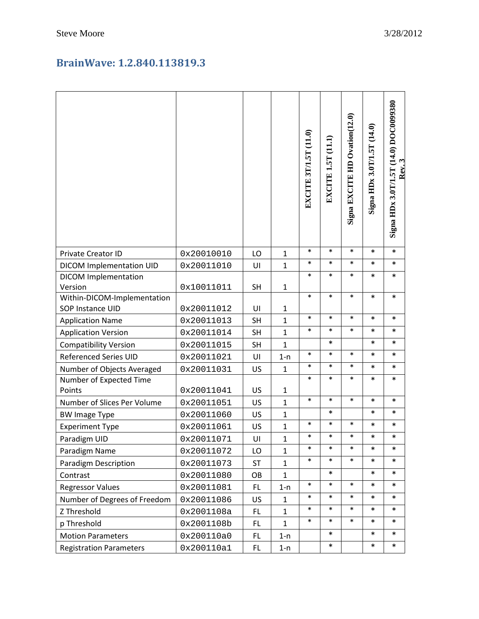#### **BrainWave: 1.2.840.113819.3**

|                                        |            |           |              | EXCITE 3T/1.5T (11.0) | EXCITE 1.5T (11.1) | Signa EXCITE HD Ovation(12.0) | Signa HDx 3.0T/1.5T (14.0) | Signa HDx 3.0T/1.5T (14.0) DOC0099380<br>Rev. |
|----------------------------------------|------------|-----------|--------------|-----------------------|--------------------|-------------------------------|----------------------------|-----------------------------------------------|
| <b>Private Creator ID</b>              | 0x20010010 | LO        | $\mathbf 1$  | $\ast$                | $\ast$             | $\ast$                        | *                          | $\ast$                                        |
| DICOM Implementation UID               | 0x20011010 | UI        | $\mathbf{1}$ | $\ast$<br>$\ast$      | $\ast$<br>$\ast$   | $\ast$<br>$\ast$              | *                          | *                                             |
| <b>DICOM Implementation</b><br>Version | 0x10011011 | <b>SH</b> | $\mathbf{1}$ |                       |                    |                               | $\ast$                     | *                                             |
| Within-DICOM-Implementation            |            |           |              | $\ast$                | $\ast$             | $\ast$                        | *                          | *                                             |
| SOP Instance UID                       | 0x20011012 | UI        | $\mathbf{1}$ |                       |                    |                               |                            |                                               |
| <b>Application Name</b>                | 0x20011013 | <b>SH</b> | $\mathbf{1}$ | $\ast$                | $\ast$             | $\ast$                        | *                          | *                                             |
| <b>Application Version</b>             | 0x20011014 | <b>SH</b> | $\mathbf{1}$ | $\ast$                | $\ast$             | $\ast$                        | $\ast$                     | $\ast$                                        |
| <b>Compatibility Version</b>           | 0x20011015 | <b>SH</b> | $\mathbf{1}$ |                       | *                  |                               | *                          | *                                             |
| <b>Referenced Series UID</b>           | 0x20011021 | UI        | $1 - n$      | $\ast$                | $\ast$             | $\ast$                        | *                          | *                                             |
| Number of Objects Averaged             | 0x20011031 | US        | $\mathbf{1}$ | $\ast$                | $\ast$             | $\ast$                        | *                          | *                                             |
| Number of Expected Time                |            |           |              | $\ast$                | $\ast$             | $\ast$                        | *                          | $\ast$                                        |
| Points                                 | 0x20011041 | US        | $\mathbf{1}$ |                       |                    |                               |                            |                                               |
| Number of Slices Per Volume            | 0x20011051 | US        | $\mathbf{1}$ | $\ast$                | $\ast$             | $\ast$                        | *                          | *                                             |
| <b>BW Image Type</b>                   | 0x20011060 | US        | $\mathbf{1}$ |                       | *                  |                               | *                          | *                                             |
| <b>Experiment Type</b>                 | 0x20011061 | US        | $\mathbf{1}$ | $\ast$                | $\ast$             | $\ast$                        | $\ast$                     | $\ast$                                        |
| Paradigm UID                           | 0x20011071 | UI        | 1            | $\ast$                | $\ast$             | $\ast$                        | *                          | $\ast$                                        |
| Paradigm Name                          | 0x20011072 | LO        | $\mathbf{1}$ | $\ast$                | $\ast$             | $\ast$                        | *                          | *                                             |
| <b>Paradigm Description</b>            | 0x20011073 | <b>ST</b> | $\mathbf{1}$ | $\ast$                | $\ast$             | $\ast$                        | *                          | *                                             |
| Contrast                               | 0x20011080 | OB        | 1            |                       | *                  |                               | $\ast$                     | $\ast$                                        |
| <b>Regressor Values</b>                | 0x20011081 | FL.       | $1 - n$      | $\ast$                | $\ast$             | $\ast$                        | *                          | $\ast$                                        |
| Number of Degrees of Freedom           | 0x20011086 | US        | 1            | $\ast$                | $\ast$             | $\ast$                        | *                          | *                                             |
| Z Threshold                            | 0x2001108a | FL.       | $\mathbf{1}$ | $\ast$                | $\ast$             | $\ast$                        | *                          | *                                             |
| p Threshold                            | 0x2001108b | FL        | $\mathbf{1}$ | $\ast$                | $\ast$             | $\ast$                        | *                          | *                                             |
| <b>Motion Parameters</b>               | 0x200110a0 | <b>FL</b> | $1-n$        |                       | $\ast$             |                               | *                          | *                                             |
| <b>Registration Parameters</b>         | 0x200110a1 | FL        | $1-n$        |                       | $\ast$             |                               | $\ast$                     | $\ast$                                        |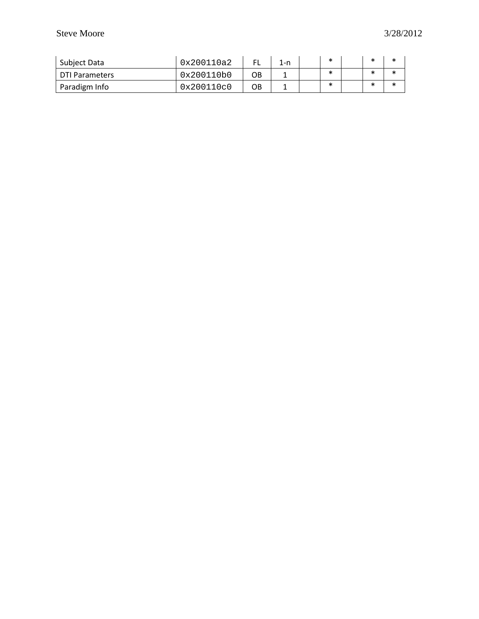| Subject Data          | 0x200110a2 |    | 1-n | *      | ж | $\ast$ |
|-----------------------|------------|----|-----|--------|---|--------|
| <b>DTI Parameters</b> | 0x200110b0 | OВ |     | *      |   | *      |
| Paradigm Info         | 0x200110c0 | OB |     | $\ast$ |   | *      |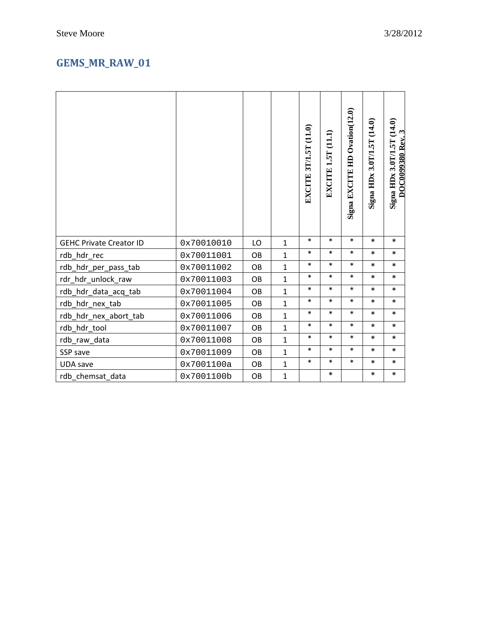## **GEMS\_MR\_RAW\_01**

|                                |            |           |              | EXCITE 3T/1.5T (11.0) | EXCITE 1.5T (11.1) | Signa EXCITE HD Ovation(12.0) | Signa HDx 3.0T/1.5T (14.0) | Signa HDx 3.0T/1.5T (14.0)<br>$\mathbf{\hat{z}}$<br><b>DOC0099380 Rev.</b> |
|--------------------------------|------------|-----------|--------------|-----------------------|--------------------|-------------------------------|----------------------------|----------------------------------------------------------------------------|
| <b>GEHC Private Creator ID</b> | 0x70010010 | LO        | $\mathbf{1}$ | $\ast$                | $\ast$             | $\ast$                        | $\ast$                     | $\ast$                                                                     |
| rdb_hdr_rec                    | 0x70011001 | OB        | $\mathbf{1}$ | $\ast$                | $\ast$             | $\ast$                        | $\ast$                     | $\ast$                                                                     |
| rdb_hdr_per_pass_tab           | 0x70011002 | OB        | $\mathbf{1}$ | $\ast$                | $\ast$             | $\ast$                        | $\ast$                     | $\ast$                                                                     |
| rdr_hdr_unlock_raw             | 0x70011003 | <b>OB</b> | $\mathbf{1}$ | $\ast$                | $\ast$             | $\ast$                        | $\ast$                     | $\ast$                                                                     |
| rdb_hdr_data_acq_tab           | 0x70011004 | OB        | $\mathbf{1}$ | $\ast$                | $\ast$             | $\ast$                        | *                          | $\ast$                                                                     |
| rdb_hdr_nex_tab                | 0x70011005 | OB        | $\mathbf{1}$ | $\ast$                | $\ast$             | $\ast$                        | $\ast$                     | $\ast$                                                                     |
| rdb_hdr_nex_abort_tab          | 0x70011006 | OB        | $\mathbf{1}$ | $\ast$                | $\ast$             | $\ast$                        | $\ast$                     | $\ast$                                                                     |
| rdb_hdr_tool                   | 0x70011007 | OB        | $\mathbf{1}$ | $\ast$                | $\ast$             | $\ast$                        | $\ast$                     | $\ast$                                                                     |
| rdb_raw_data                   | 0x70011008 | OB        | $\mathbf{1}$ | $\ast$                | $\ast$             | $\ast$                        | $\ast$                     | $\ast$                                                                     |
| SSP save                       | 0x70011009 | OB        | $\mathbf{1}$ | $\ast$                | $\ast$             | $\ast$                        | $\ast$                     | $\ast$                                                                     |
| <b>UDA</b> save                | 0x7001100a | OB        | $\mathbf{1}$ | $\ast$                | $\ast$             | $\ast$                        | $\ast$                     | $\ast$                                                                     |
| rdb chemsat data               | 0x7001100b | OB        | $\mathbf{1}$ |                       | *                  |                               | *                          | $\ast$                                                                     |